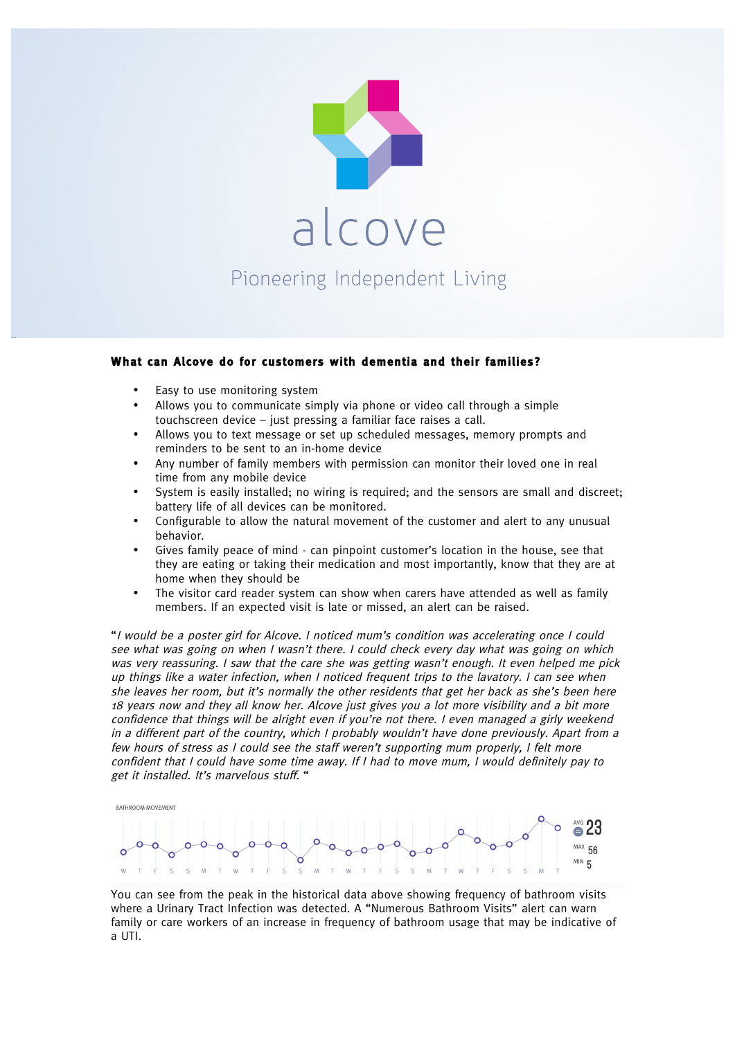

## **What can Alcove do for customers with dementia and their families?**

Easy to use monitoring system

150428-Alcove-Banner-V1.indd 2

- Allows you to communicate simply via phone or video call through a simple touchscreen device – just pressing a familiar face raises a call.
- Allows you to text message or set up scheduled messages, memory prompts and reminders to be sent to an in-home device
- Any number of family members with permission can monitor their loved one in real time from any mobile device
- System is easily installed; no wiring is required; and the sensors are small and discreet; battery life of all devices can be monitored.
- Configurable to allow the natural movement of the customer and alert to any unusual behavior.
- Gives family peace of mind can pinpoint customer's location in the house, see that they are eating or taking their medication and most importantly, know that they are at home when they should be
- The visitor card reader system can show when carers have attended as well as family members. If an expected visit is late or missed, an alert can be raised.

"I would be a poster girl for Alcove. I noticed mum's condition was accelerating once I could see what was going on when I wasn't there. I could check every day what was going on which was very reassuring. I saw that the care she was getting wasn't enough. It even helped me pick up things like a water infection, when I noticed frequent trips to the lavatory. I can see when she leaves her room, but it's normally the other residents that get her back as she's been here 18 years now and they all know her. Alcove just gives you a lot more visibility and a bit more confidence that things will be alright even if you're not there. I even managed a girly weekend in a different part of the country, which I probably wouldn't have done previously. Apart from a few hours of stress as I could see the staff weren't supporting mum properly, I felt more confident that I could have some time away. If I had to move mum, I would definitely pay to get it installed. It's marvelous stuff. "



You can see from the peak in the historical data above showing frequency of bathroom visits where a Urinary Tract Infection was detected. A "Numerous Bathroom Visits" alert can warn family or care workers of an increase in frequency of bathroom usage that may be indicative of a UTI.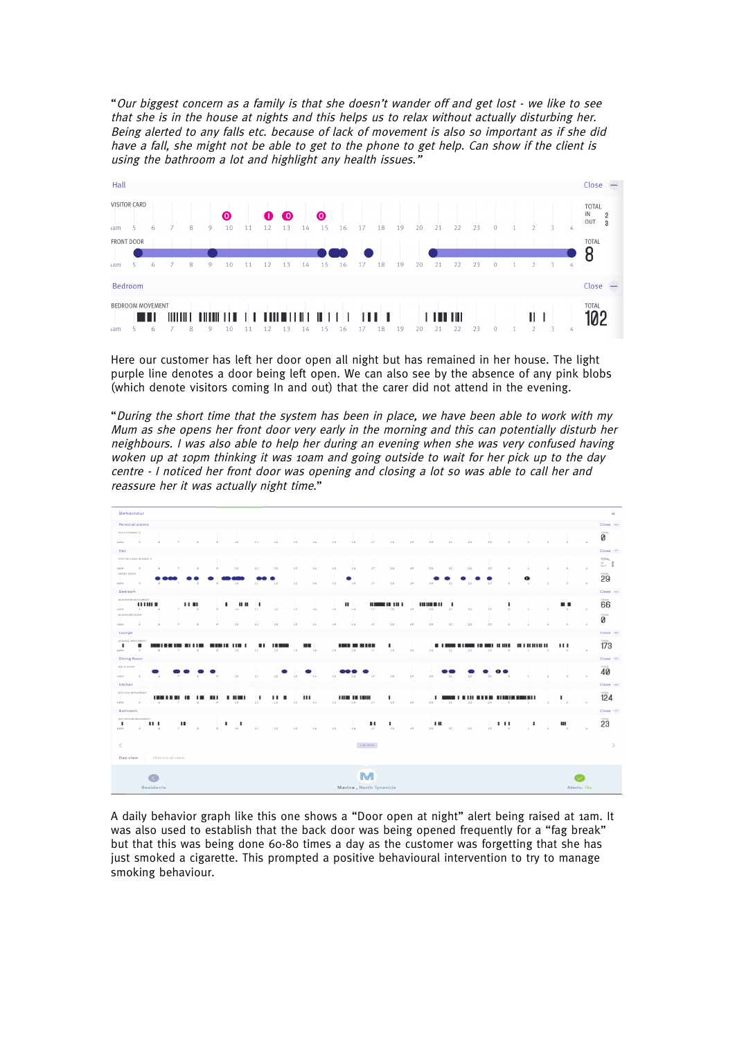"Our biggest concern as a family is that she doesn't wander off and get lost - we like to see that she is in the house at nights and this helps us to relax without actually disturbing her. Being alerted to any falls etc. because of lack of movement is also so important as if she did have a fall, she might not be able to get to the phone to get help. Can show if the client is using the bathroom a lot and highlight any health issues.



Here our customer has left her door open all night but has remained in her house. The light purple line denotes a door being left open. We can also see by the absence of any pink blobs (which denote visitors coming In and out) that the carer did not attend in the evening.

"During the short time that the system has been in place, we have been able to work with my Mum as she opens her front door very early in the morning and this can potentially disturb her neighbours. I was also able to help her during an evening when she was very confused having woken up at 10pm thinking it was 10am and going outside to wait for her pick up to the day centre - I noticed her front door was opening and closing a lot so was able to call her and reassure her it was actually night time."

| Behaviour<br>$\times$                                    |                                   |                        |                     |                |                           |                 |           |                 |         |                 |                   |                |                         |    |                 |    |                 |         |                           |                  |                |                               |                            |                           |
|----------------------------------------------------------|-----------------------------------|------------------------|---------------------|----------------|---------------------------|-----------------|-----------|-----------------|---------|-----------------|-------------------|----------------|-------------------------|----|-----------------|----|-----------------|---------|---------------------------|------------------|----------------|-------------------------------|----------------------------|---------------------------|
|                                                          | $Close -$<br>Personal alarms      |                        |                     |                |                           |                 |           |                 |         |                 |                   |                |                         |    |                 |    |                 |         |                           |                  |                |                               |                            |                           |
| HELP [CONNECT]<br>$4a$ m<br>$\overline{5}$               |                                   |                        | $\overline{a}$      | $\mathfrak{D}$ | 10                        | 11              | $12^{12}$ | 13 <sup>°</sup> | 14      | 15              | 16                | 17             | 15                      | 19 | 20              | 21 | 22              | 23      |                           |                  |                |                               |                            | <b>TOTAL</b><br>0         |
| Hall                                                     |                                   |                        |                     |                |                           |                 |           |                 |         |                 |                   |                |                         |    |                 |    |                 |         |                           |                  |                |                               |                            | $Close -$                 |
| VISITOR CARD READER 2                                    |                                   |                        |                     |                |                           |                 |           |                 |         |                 |                   |                |                         |    |                 |    |                 |         |                           |                  |                |                               |                            | TOTAL<br>124<br>OUT 0     |
| 4am<br>$\sim$<br>FRONT DOOR                              |                                   |                        |                     |                | 10                        | 11              | 12        | 13              | 14      | 15              | 16                | 17             | $18$                    | 19 | 20              | 21 | 22              | 23      |                           |                  |                |                               | $\Delta$                   | TOTAL                     |
| $4a$ m<br>$\kappa$                                       |                                   |                        | <b>B</b>            | $\circ$        | 10                        | 11              | 12        | 13              | 24      | 15              | 16                | 17             | 18                      | 19 | 20              | 21 | 22              | 23      | o                         | 0<br>$\sim$      | $\rightarrow$  |                               |                            | 29                        |
| Bedroom                                                  |                                   |                        |                     |                |                           |                 |           |                 |         |                 |                   |                |                         |    |                 |    |                 |         |                           |                  |                |                               |                            | Close                     |
| BEDROOM MOVEMENT                                         | 11111111                          |                        | $\blacksquare$      |                | ٠<br><b>HH</b>            |                 |           |                 |         |                 | $\mathbf{H}$      |                | <b>DESCRIPTION OF A</b> |    | <b>HUBBER 1</b> |    |                 |         | п                         |                  |                | . .                           |                            | <b>TOTAL</b><br>66        |
| $\sim$<br>4am<br>BEDROOM DOOR                            | $\ddot{\circ}$                    |                        | $\sim$              | ò.             | 10                        | 11              | 12        | $13 -$          | 2.4     | 15              | 16                | 17             | 15                      | 19 | 20              | 21 | 22              | 23      | $\circ$                   |                  |                | $\sim$                        | $\mathcal{L}$              | TOTAL                     |
| 4am<br>5                                                 | $\sigma$                          |                        | $\overline{\omega}$ | ż.             | 10                        | 11              | 12        | $13 -$          | 14      | 15 <sub>1</sub> | 16                | 17             | 15                      | 19 | 20              | 21 | $\overline{22}$ | $23 -$  | $\circ$                   |                  | $\overline{z}$ | 3                             |                            | 0                         |
| Lounge                                                   |                                   |                        |                     |                |                           |                 |           |                 |         |                 |                   |                |                         |    |                 |    |                 |         |                           |                  |                |                               |                            | $Close =$                 |
| LOUNGE MOVEMENT<br>п                                     |                                   | .                      |                     |                | <b>MANIA 118 1</b>        |                 | .         |                 | m       |                 | m                 | 1 I II II      | ٠                       |    |                 | .  |                 |         |                           | 18 I 81 81 81 81 |                | $\mathbf{H}$                  |                            | <b>TOTAL</b><br>173       |
| 4a m<br>s                                                |                                   |                        | $\alpha$            | 9              | 10                        | 11              | 12        | 13 <sup>1</sup> | 24      | 15              | 16                | 17             | 18                      | 19 | 20              | 21 | 22              | 23      | $\circ$                   |                  | $\overline{2}$ | ä,                            | $\mathcal{L}_{\mathrm{c}}$ |                           |
| <b>Dining Room</b><br><b>BACK DOOR</b>                   |                                   |                        |                     |                |                           |                 |           |                 |         |                 |                   |                |                         |    |                 |    |                 |         |                           |                  |                |                               |                            | $Close -$<br><b>TOTAL</b> |
| 4am<br>$\sim$                                            | $\sim$                            |                        | <b>B</b>            | $\circ$        | 10                        | 11              | 12        | 13              | 34      | 15              | 16                | 37             | 15                      | 19 | 20              | 21 | 22              | o<br>23 | $\circ$                   |                  |                |                               |                            | 40                        |
| Kitchen                                                  |                                   |                        |                     |                |                           |                 |           |                 |         |                 |                   |                |                         |    |                 |    |                 |         |                           |                  |                |                               |                            | $Close -$                 |
| KITCHEN MOVEMENT                                         |                                   |                        |                     | . .            | .                         | п               | 11 H      |                 | ш       |                 | <b>THE 18 THE</b> |                | п                       |    | п.              |    |                 |         |                           |                  |                |                               |                            | TOTAL<br>124              |
| $-5$<br>4-a.m.                                           | $\sim$                            |                        | $\circ$             |                | 10                        | 11              | 12        | 13              | $2 - 6$ | 15              | 16                | 17             | 18                      | 19 | 20              | 21 | $\overline{22}$ | 23      | $\alpha$                  |                  | $\overline{a}$ | $\mathcal{R}$                 | $\mathcal{L}_{\mathrm{c}}$ |                           |
| Bathroom                                                 |                                   |                        |                     |                |                           |                 |           |                 |         |                 |                   |                |                         |    |                 |    |                 |         |                           |                  |                |                               |                            | $Close =$                 |
| BATHROOM MOVEMENT<br>٠<br>$4a$ m<br>з.                   | <b>HI</b><br>$\ddot{\phantom{a}}$ | ш<br>$\overline{z}$    | $\sim$              | ż.             | ٠<br>п<br>10 <sup>°</sup> | $\overline{11}$ | 12        | $13 -$          | 24      | 15              | 16                | ш<br>17        | 18                      | 19 | ш<br>20         | 21 | 22              | 23      | $\blacksquare$<br>$\circ$ | ٠<br>÷           | ÷              | Ш<br>$\overline{\phantom{a}}$ |                            | TOTAL<br>23               |
|                                                          |                                   |                        |                     |                |                           |                 |           |                 |         |                 |                   |                |                         |    |                 |    |                 |         |                           |                  |                |                               |                            |                           |
| $\lt$                                                    |                                   |                        |                     |                |                           |                 |           |                 |         |                 |                   | $\pm$ jul 2016 |                         |    |                 |    |                 |         |                           |                  |                |                               |                            | $\geq$                    |
| Day view                                                 |                                   | <b>Historical view</b> |                     |                |                           |                 |           |                 |         |                 |                   |                |                         |    |                 |    |                 |         |                           |                  |                |                               |                            |                           |
|                                                          |                                   |                        |                     |                |                           |                 |           |                 |         |                 |                   |                |                         |    |                 |    |                 |         |                           |                  |                |                               |                            |                           |
|                                                          | M                                 |                        |                     |                |                           |                 |           |                 |         |                 |                   |                |                         |    |                 |    |                 |         |                           |                  |                |                               |                            |                           |
| <b>Residents</b><br>Marina, North Tyneside<br>Alerts: On |                                   |                        |                     |                |                           |                 |           |                 |         |                 |                   |                |                         |    |                 |    |                 |         |                           |                  |                |                               |                            |                           |
|                                                          |                                   |                        |                     |                |                           |                 |           |                 |         |                 |                   |                |                         |    |                 |    |                 |         |                           |                  |                |                               |                            |                           |

A daily behavior graph like this one shows a "Door open at night" alert being raised at 1am. It was also used to establish that the back door was being opened frequently for a "fag break" but that this was being done 60-80 times a day as the customer was forgetting that she has just smoked a cigarette. This prompted a positive behavioural intervention to try to manage smoking behaviour.